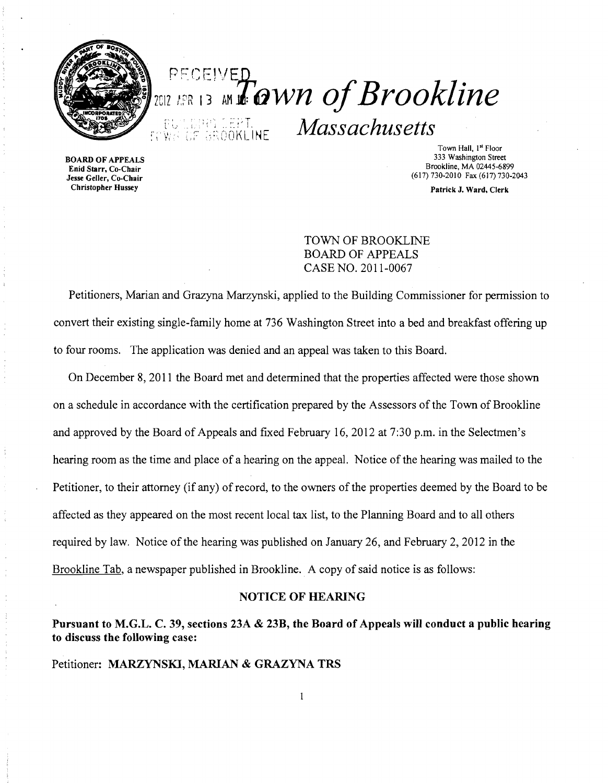

**BOARD OF APPEALS** 

Christopher Hussey

# $E_{\text{CCEIVE}}$  and  $E_{\text{QWh}}$  of Brookline *Massachusetts Vi: 05 3800KLINE Massachusetts*

Town Hall, 1<sup>st</sup> Floor<br>333 Washington Street Brookline, MA 02445-6899<br> **Enid Starr, Co-Chair**<br> **Jesse Geller, Co-Chair** (617) 730-2010 Fax (617) 730-2010 (617) 730-2010 Fax (617) 730-2043

Patrick J. Ward, Clerk

## TOWN OF BROOKLINE BOARD OF APPEALS CASE NO. 2011-0067

Petitioners, Marian and Grazyna Marzynski, applied to the Building Commissioner for pennission to convert their existing single-family home at 736 Washington Street into a bed and breakfast offering up to four rooms. The application was denied and an appeal was taken to this Board.

On December 8, 2011 the Board met and determined that the properties affected were those shown on a schedule in accordance with the certification prepared by the Assessors of the Town of Brookline and approved by the Board of Appeals and fixed February 16,2012 at 7:30 p.m. in the Selectmen's hearing room as the time and place of a hearing on the appeal. Notice of the hearing was mailed to the Petitioner, to their attorney (if any) of record, to the owners of the properties deemed by the Board to be affected as they appeared on the most recent local tax list, to the Planning Board and to all others required by law. Notice of the hearing was published on January 26, and February 2,2012 in the Brookline Tab, a newspaper published in Brookline. A copy of said notice is as follows:

### NOTICE OF HEARING

Pursuant to M.G.L. C. 39, sections 23A & 23B, the Board of Appeals will conduct a public hearing to discuss the following case:

Petitioner: MARZYNSKI, MARIAN & GRAZYNA TRS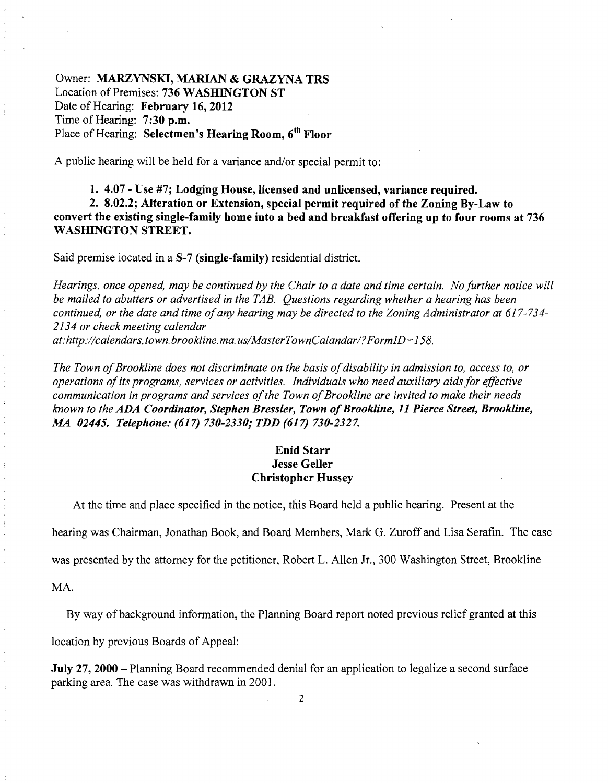Owner: MARZYNSKI, MARIAN & GRAZYNA TRS Location of Premises: 736 WASHINGTON ST Date of Hearing: February 16, 2012 Time of Hearing: 7:30 p.m. Place of Hearing: Selectmen's Hearing Room, 6<sup>th</sup> Floor

A public hearing will be held for a variance and/or special permit to:

1. 4.07 - Use #7; Lodging House, licensed and unlicensed, variance required. 2. 8.02.2; Alteration or Extension, special permit required of the Zoning By-Law to convert the existing single-family home into a bed and breakfast offering up to four rooms at 736 WASHINGTON STREET.

Said premise located in a S-7 (single-family) residential district.

*Hearings, once opened, may be continued by the Chair to a date and time certain. No further notice will be mailed to abutters or advertised in the TAB. Questions regarding whether a hearing has been continued, or the date and time ofany hearing may be directed to the Zoning Administrator at 617-734 2134 or check meeting calendar at:http://calendars.town.brookline.ma.usIMasterTownCalandarl?FormID=158.* 

The Town of Brookline does not discriminate on the basis of disability in admission to, access to, or *operations ofits programs, services or activities. Individuals who need auxiliary aids for effective communication in programs and services of the Town of Brookline are invited to make their needs known to the ADA Coordinator, Stephen Bressler, Town ofBrookline,* 11 *Pierce Street, Brookline, MA 02445. Telephone:* (617) *730-2330; TDD* (617) *730-2327.* 

#### Enid Starr Jesse Geller Christopher Hussey

At the time and place specified in the notice, this Board held a public hearing. Present at the

hearing was Chairman, Jonathan Book, and Board Members, Mark G. Zuroff and Lisa Serafin. The case

was presented by the attorney for the petitioner, Robert L. Allen Jr., 300 Washington Street, Brookline

MA.

By way of background information, the Planning Board report noted previous relief granted at this

location by previous Boards of Appeal:

July 27, 2000 - Planning Board recommended denial for an application to legalize a second surface parking area. The case was withdrawn in 2001.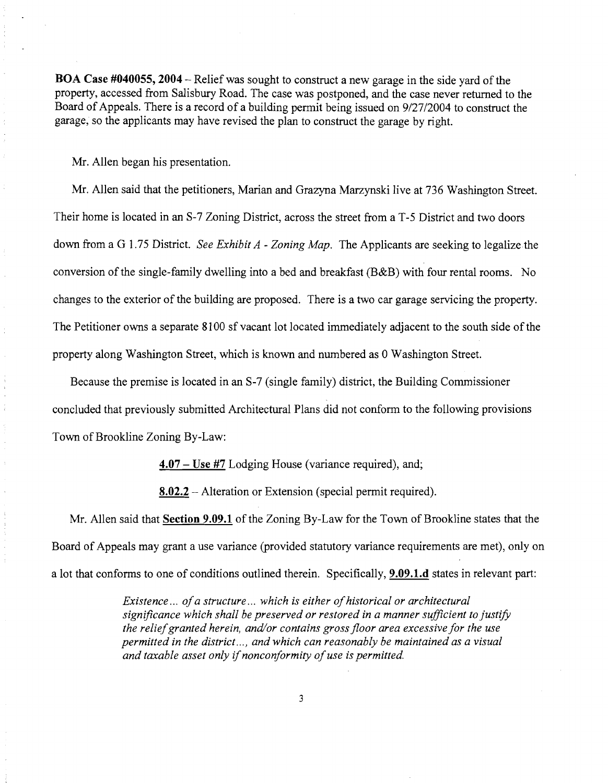BOA Case #040055, 2004 - Relief was sought to construct a new garage in the side yard of the property, accessed from Salisbury Road. The case was postponed, and the case never returned to the Board of Appeals. There is a record of a building pennit being issued on *9127/2004* to construct the garage, so the applicants may have revised the plan to construct the garage by right.

Mr. Allen began his presentation.

Mr. Allen said that the petitioners, Marian and Grazyna Marzynski live at 736 Washington Street. Their home is located in an S-7 Zoning District, across the street from a T-5 District and two doors down from a G 1.75 District. *See Exhibit A* - *Zoning Map.* The Applicants are seeking to legalize the conversion of the single-family dwelling into a bed and breakfast  $(B&B)$  with four rental rooms. No changes to the exterior of the building are proposed. There is a two car garage servicing the property. The Petitioner owns a separate 8100 sf vacant lot located immediately adjacent to the south side of the property along Washington Street, which is known and numbered as 0 Washington Street.

Because the premise is located in an S-7 (single family) district, the Building Commissioner concluded that previously submitted Architectural Plans did not conform to the following provisions Town of Brookline Zoning By-Law:

 $4.07 - Use$  #7 Lodging House (variance required), and;

8.02.2 – Alteration or Extension (special permit required).

Mr. Allen said that Section 9.09.1 of the Zoning By-Law for the Town of Brookline states that the Board of Appeals may grant a use variance (provided statutory variance requirements are met), only on a lot that conforms to one of conditions outlined therein. Specifically, **9.09.1.d** states in relevant part:

> *EXistence ... ofa structure ... which is either ofhistorical or architectural significance which shall be preserved or restored in a manner sufficient to justify the reliefgranted herein, and/or contains gross floor area excessive for the use permitted in the district... , and which can reasonably be maintained as a visual and taxable asset only* if*nonconformity ofuse is permitted.*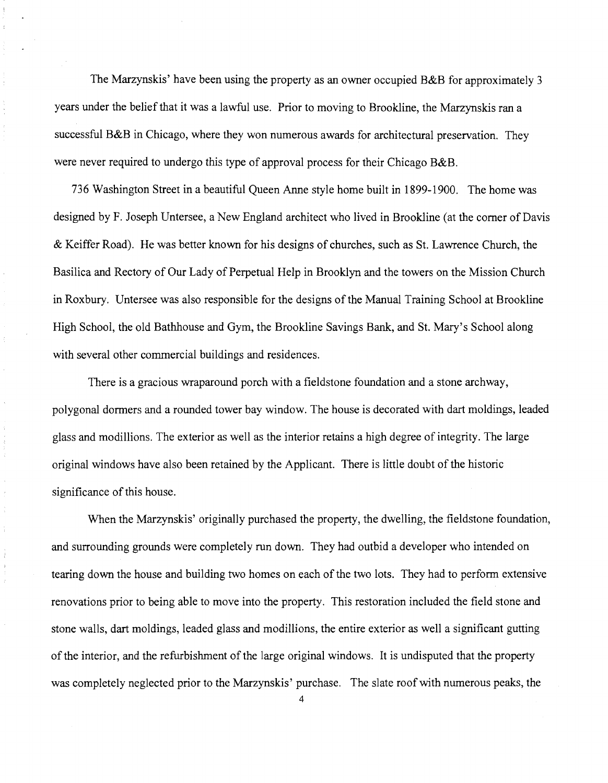The Marzynskis' have been using the property as an owner occupied B&B for approximately 3 years under the belief that it was a lawful use. Prior to moving to Brookline, the Marzynskis ran a successful B&B in Chicago, where they won numerous awards for architectural preservation. They were never required to undergo this type of approval process for their Chicago B&B.

736 Washington Street in a beautiful Queen Anne style home built in 1899-1900. The home was designed by F. Joseph Untersee, a New England architect who lived in Brookline (at the comer of Davis & Keiffer Road). He was better known for his designs of churches, such as St. Lawrence Church, the Basilica and Rectory of Our Lady of Perpetual Help in Brooklyn and the towers on the Mission Church in Roxbury. Untersee was also responsible for the designs of the Manual Training School at Brookline High School, the old Bathhouse and Gym, the Brookline Savings Bank, and St. Mary's School along with several other commercial buildings and residences.

There is a gracious wraparound porch with a fieldstone foundation and a stone archway, polygonal dormers and a rounded tower bay window. The house is decorated with dart moldings, leaded glass and modillions. The exterior as well as the interior retains a high degree of integrity. The large original windows have also been retained by the Applicant. There is little doubt of the historic significance of this house.

 $\frac{1}{2}$ 

When the Marzynskis' originally purchased the property, the dwelling, the fieldstone foundation, and surrounding grounds were completely run down. They had outbid a developer who intended on tearing down the house and building two homes on each of the two lots. They had to perform extensive renovations prior to being able to move into the property. This restoration included the field stone and stone walls, dart moldings, leaded glass and modillions, the entire exterior as well a significant gutting of the interior, and the refurbishment of the large original windows. It is undisputed that the property was completely neglected prior to the Marzynskis' purchase. The slate roof with numerous peaks, the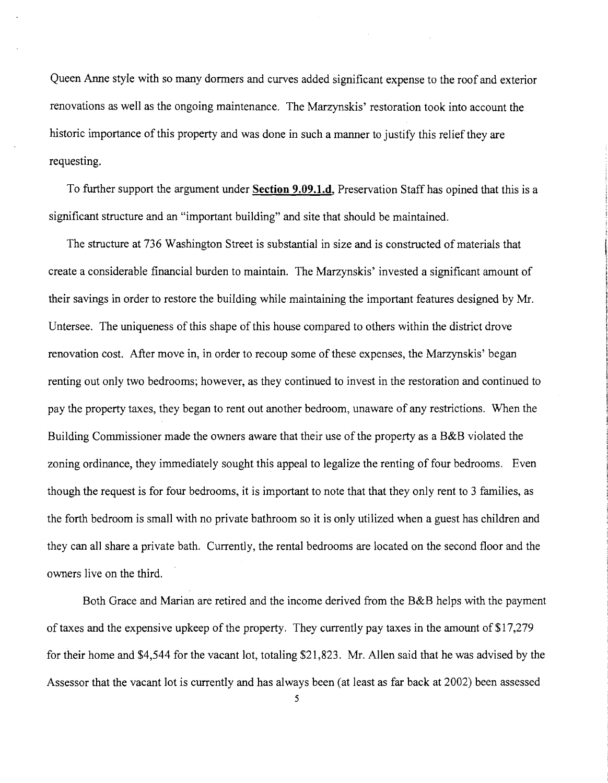Queen Anne style with so many dormers and curves added significant expense to the roof and exterior renovations as well as the ongoing maintenance. The Marzynskis' restoration took into account the historic importance of this property and was done in such a manner to justify this relief they are requesting.

To further support the argument under **Section 9.09.1.d,** Preservation Staff has opined that this is a significant structure and an "important building" and site that should be maintained.

The structure at 736 Washington Street is substantial in size and is constructed of materials that create a considerable financial burden to maintain. The Marzynskis' invested a significant amount of their savings in order to restore the building while maintaining the important features designed by Mr. Untersee. The uniqueness of this shape of this house compared to others within the district drove renovation cost. After move in, in order to recoup some of these expenses, the Marzynskis' began renting out only two bedrooms; however, as they continued to invest in the restoration and continued to pay the property taxes, they began to rent out another bedroom, unaware of any restrictions. When the Building Commissioner made the owners aware that their use of the property as a B&B violated the zoning ordinance, they immediately sought this appeal to legalize the renting of four bedrooms. Even though the request is for four bedrooms, it is important to note that that they only rent to 3 families, as the forth bedroom is small with no private bathroom so it is only utilized when a guest has children and they can all share a private bath. Currently, the rental bedrooms are located on the second floor and the owners live on the third.

Both Grace and Marian are retired and the income derived from the B&B helps with the payment of taxes and the expensive upkeep of the property. They currently pay taxes in the amount of \$17,279 for their home and \$4,544 for the vacant lot, totaling \$21,823. Mr. Allen said that he was advised by the Assessor that the vacant lot is currently and has always been (at least as far back at 2002) been assessed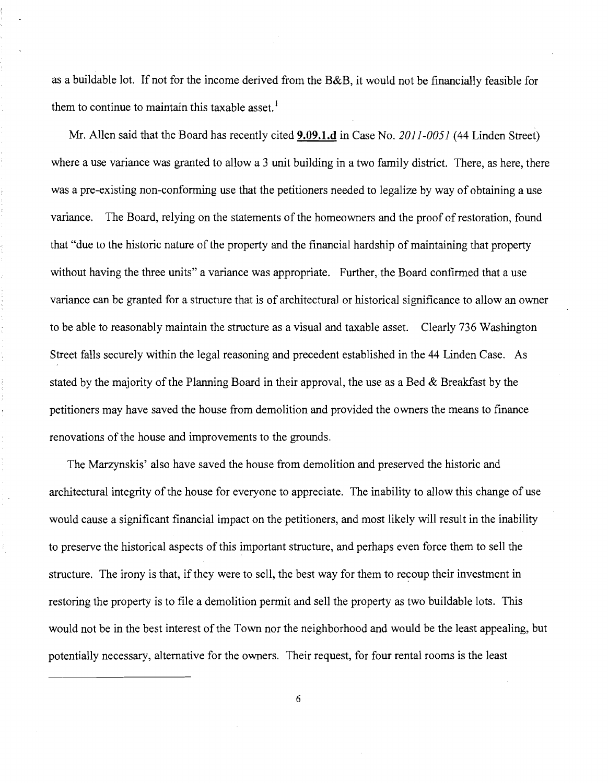as a buildable lot. If not for the income derived from the B&B, it would not be financially feasible for them to continue to maintain this taxable asset.<sup>1</sup>

Mr. Allen said that the Board has recently cited **9.09.l.d** in Case No. *2011-0051* (44 Linden Street) where a use variance was granted to allow a 3 unit building in a two family district. There, as here, there was a pre-existing non-conforming use that the petitioners needed to legalize by way of obtaining a use variance. The Board, relying on the statements of the homeowners and the proof of restoration, found that "due to the historic nature of the property and the financial hardship of maintaining that property without having the three units" a variance was appropriate. Further, the Board confirmed that a use variance can be granted for a structure that is of architectural or historical significance to allow an owner to be able to reasonably maintain the structure as a visual and taxable asset. Clearly 736 Washington Street falls securely within the legal reasoning and precedent established in the 44 Linden Case. As stated by the majority of the Planning Board in their approval, the use as a Bed & Breakfast by the petitioners may have saved the house from demolition and provided the owners the means to finance renovations of the house and improvements to the grounds.

The Marzynskis' also have saved the house from demolition and preserved the historic and architectural integrity of the house for everyone to appreciate. The inability to allow this change of use would cause a significant financial impact on the petitioners, and most likely will result in the inability to preserve the historical aspects of this important structure, and perhaps even force them to sell the structure. The irony is that, if they were to sell, the best way for them to recoup their investment in restoring the property is to file a demolition permit and sell the property as two buildable lots. This would not be in the best interest of the Town nor the neighborhood and would be the least appealing, but potentially necessary, alternative for the owners. Their request, for four rental rooms is the least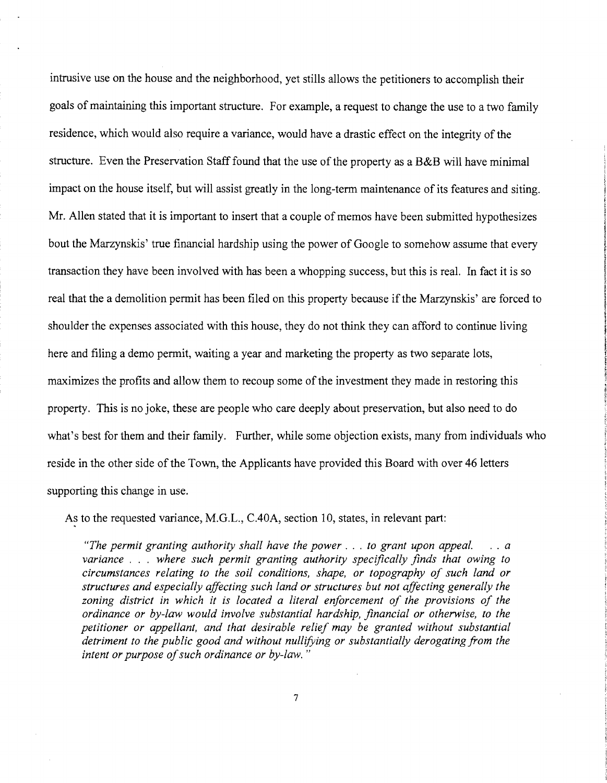intrusive use on the house and the neighborhood, yet stills allows the petitioners to accomplish their goals of maintaining this important structure. For example, a request to change the use to a two family residence, which would also require a variance, would have a drastic effect on the integrity of the structure. Even the Preservation Staff found that the use of the property as a B&B will have minimal impact on the house itself, but will assist greatly in the long-term maintenance of its features and siting. Mr. Allen stated that it is important to insert that a couple of memos have been submitted hypothesizes bout the Marzynskis' true financial hardship using the power of Google to somehow assume that every transaction they have been involved with has been a whopping success, but this is real. In fact it is so real that the a demolition permit has been filed on this property because if the Marzynskis' are forced to shoulder the expenses associated with this house, they do not think they can afford to continue living here and filing a demo permit, waiting a year and marketing the property as two separate lots, maximizes the profits and allow them to recoup some of the investment they made in restoring this property. This is no joke, these are people who care deeply about preservation, but also need to do what's best for them and their family. Further, while some objection exists, many from individuals who reside in the other side of the Town, the Applicants have provided this Board with over 46 letters supporting this change in use.

As to the requested variance, M.G.L., C.40A, section 10, states, in relevant part:

*"The permit granting authority shall have the power ... to grant upon appeal. variance* . . . *where such permit granting authority specifically finds that owing to circumstances relating to the soil conditions, shape, or topography of such land or structures and especially affecting such land or structures but not affecting generally the*  zoning district in which it is located a literal enforcement of the provisions of the *ordinance or by-law would involve substantial hardship, financial or otherwise, to the petitioner or appellant, and that desirable relief may be granted without substantial detriment to the public good and without nullifying or substantially derogating from the*  intent or purpose of such ordinance or by-law."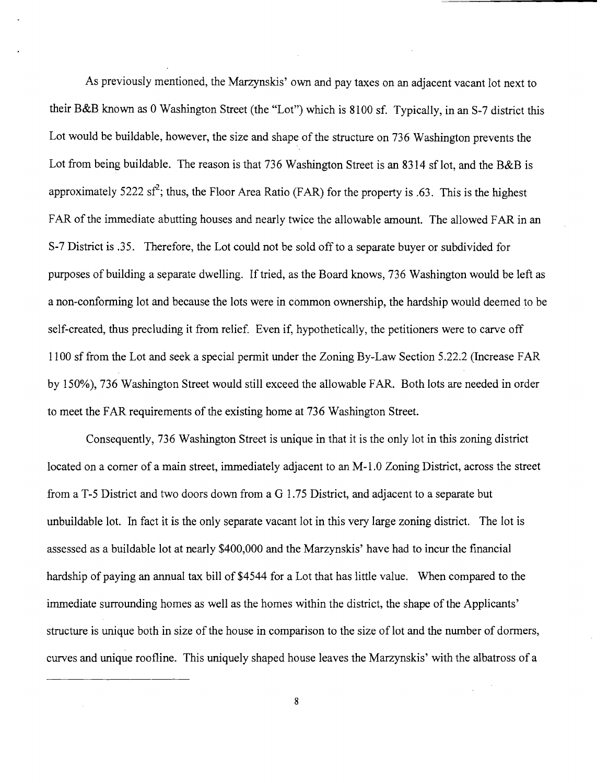As previously mentioned, the Marzynskis' own and pay taxes on an adjacent vacant lot next to their B&B known as 0 Washington Street (the "Lot") which is 8100 sf. Typically, in an S-7 district this Lot would be buildable, however, the size and shape of the structure on 736 Washington prevents the Lot from being buildable. The reason is that 736 Washington Street is an 8314 sf lot, and the B&B is approximately 5222 sf<sup>2</sup>; thus, the Floor Area Ratio (FAR) for the property is .63. This is the highest FAR of the immediate abutting houses and nearly twice the allowable amount. The allowed FAR in an S-7 District is .35. Therefore, the Lot could not be sold off to a separate buyer or subdivided for purposes of building a separate dwelling. If tried, as the Board knows, 736 Washington would be left as a non-conforming lot and because the lots were in common ownership, the hardship would deemed to be self-created, thus precluding it from relief. Even if, hypothetically, the petitioners were to carve off 1100 sf from the Lot and seek a special permit under the Zoning By-Law Section 5.22.2 (Increase FAR by 150%), 736 Washington Street would still exceed the allowable FAR. Both lots are needed in order to meet the FAR requirements of the existing home at 736 Washington Street.

Consequently, 736 Washington Street is unique in that it is the only lot in this zoning district located on a corner of a main street, immediately adjacent to an M-1.0 Zoning District, across the street from a T-5 District and two doors down from a G 1.75 District, and adjacent to a separate but unbuildable lot. In fact it is the only separate vacant lot in this very large zoning district. The lot is assessed as a buildable lot at nearly \$400,000 and the Marzynskis' have had to incur the financial hardship of paying an annual tax bill of \$4544 for a Lot that has little value. When compared to the immediate surrounding homes as well as the homes within the district, the shape of the Applicants' structure is unique both in size of the house in comparison to the size of lot and the number of dormers, curves and unique roofline. This uniquely shaped house leaves the Marzynskis' with the albatross of a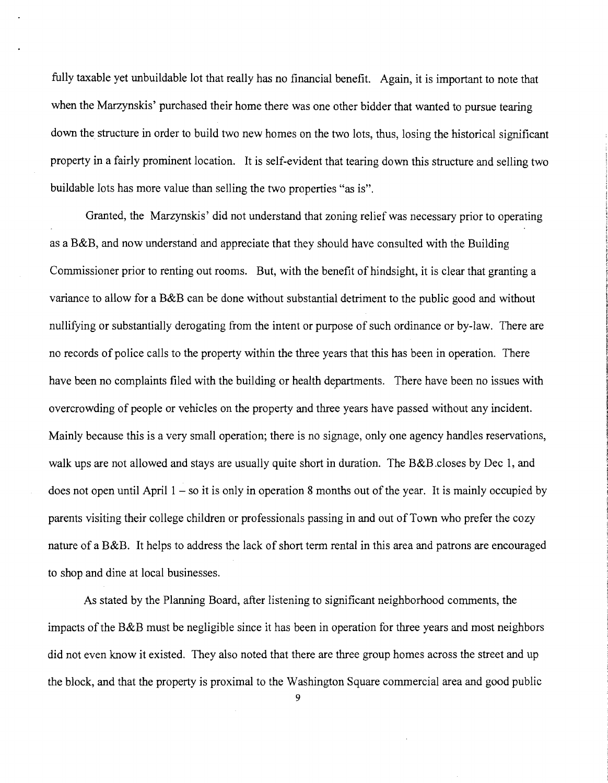fully taxable yet unbuildable lot that really has no financial benefit. Again, it is important to note that when the Marzynskis' purchased their home there was one other bidder that wanted to pursue tearing down the structure in order to build two new homes on the two lots, thus, losing the historical significant property in a fairly prominent location. It is self-evident that tearing down this structure and selling two buildable lots has more value than selling the two properties "as is".

Granted, the Marzynskis' did not understand that zoning relief was necessary prior to operating as a B&B, and now understand and appreciate that they should have consulted with the Building Commissioner prior to renting out rooms. But, with the benefit of hindsight, it is clear that granting a variance to allow for a B&B can be done without substantial detriment to the public good and without nullifying or substantially derogating from the intent or purpose of such ordinance or by-law. There are no records of police calls to the property within the three years that this has been in operation. There have been no complaints filed with the building or health departments. There have been no issues with overcrowding of people or vehicles on the property and three years have passed without any incident. Mainly because this is a very small operation; there is no signage, only one agency handles reservations, walk ups are not allowed and stays are usually quite short in duration. The B&B closes by Dec 1, and does not open until April  $1 - so$  it is only in operation 8 months out of the year. It is mainly occupied by parents visiting their college children or professionals passing in and out of Town who prefer the cozy nature of a B&B. It helps to address the lack of short term rental in this area and patrons are encouraged to shop and dine at local businesses.

As stated by the Planning Board, after listening to significant neighborhood comments, the impacts of the B&B must be negligible since it has been in operation for three years and most neighbors did not even know it existed. They also noted that there are three group homes across the street and up the block, and that the property is proximal to the Washington Square commercial area and good public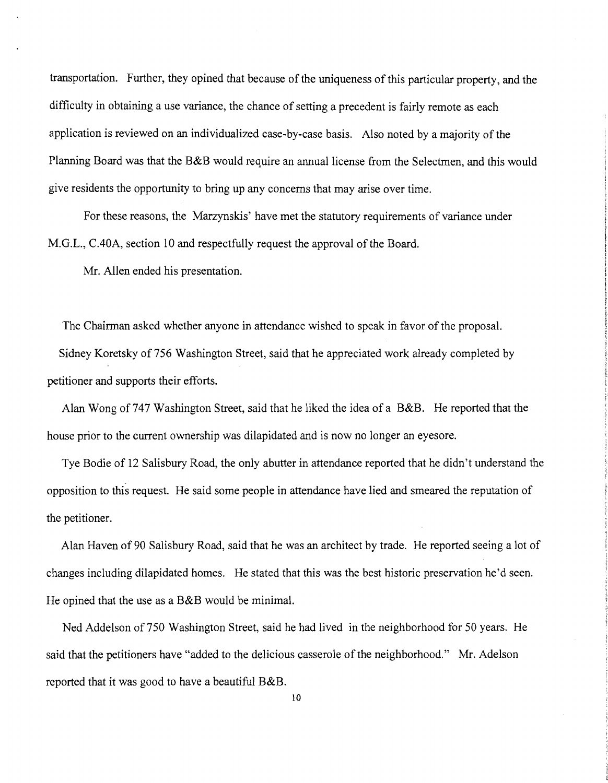transportation. Further, they opined that because of the uniqueness of this particular property, and the difficulty in obtaining a use variance, the chance of setting a precedent is fairly remote as each application is reviewed on an individualized case-by-case basis. Also noted by a majority of the Planning Board was that the B&B would require an annual license from the Selectmen, and this would give residents the opportunity to bring up any concerns that may arise over time.

For these reasons, the Marzynskis' have met the statutory requirements of variance under M.G.L., CAOA, section 10 and respectfully request the approval of the Board.

Mr. Allen ended his presentation.

The Chairman asked whether anyone in attendance wished to speak in favor of the proposal. Sidney Koretsky of 756 Washington Street, said that he appreciated work already completed by petitioner and supports their efforts.

Alan Wong of 747 Washington Street, said that he liked the idea of a B&B. He reported that the house prior to the current ownership was dilapidated and is now no longer an eyesore.

Tye Bodie of 12 Salisbury Road, the only abutter in attendance reported that he didn't understand the opposition to this request. He said some people in attendance have lied and smeared the reputation of the petitioner.

Alan Haven of 90 Salisbury Road, said that he was an architect by trade. He reported seeing a lot of changes including dilapidated homes. He stated that this was the best historic preservation he'd seen. He opined that the use as a B&B would be minimal.

Ned Addelson of750 Washington Street, said he had lived in the neighborhood for 50 years. He said that the petitioners have "added to the delicious casserole of the neighborhood." Mr. Adelson reported that it was good to have a beautiful B&B.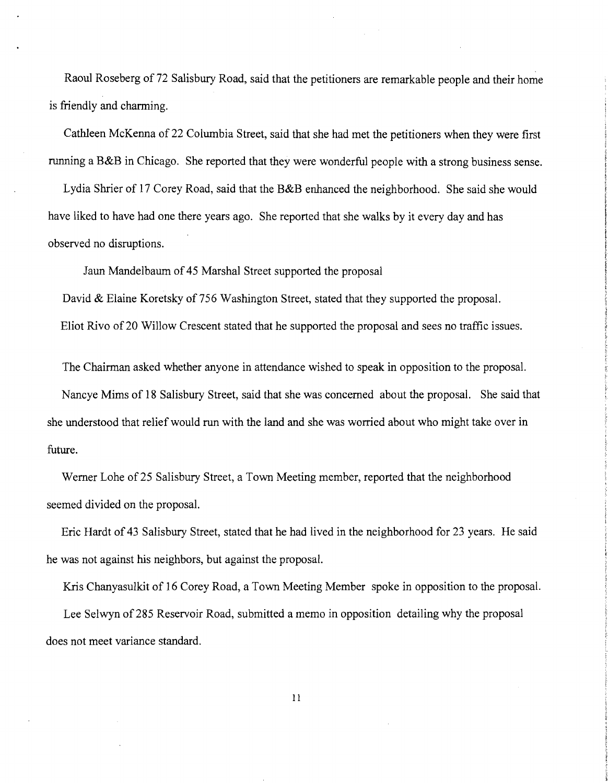Raoul Roseberg of 72 Salisbury Road, said that the petitioners are remarkable people and their home is friendly and charming.

Cathleen McKenna of 22 Columbia Street, said that she had met the petitioners when they were first running a B&B in Chicago. She reported that they were wonderful people with a strong business sense.

Lydia Shrier of 17 Corey Road, said that the B&B enhanced the neighborhood. She said she would have liked to have had one there years ago. She reported that she walks by it every day and has observed no disruptions.

Jaun Mandelbaum of 45 Marshal Street supported the proposal

David & Elaine Koretsky of 756 Washington Street, stated that they supported the proposal. Eliot Rivo of20 Willow Crescent stated that he supported the proposal and sees no traffic issues.

The Chairman asked whether anyone in attendance wished to speak in opposition to the proposal.

Nancye Mims of 18 Salisbury Street, said that she was concerned about the proposal. She said that she understood that relief would run with the land and she was worried about who might take over in future.

Werner Lohe of 25 Salisbury Street, a Town Meeting member, reported that the neighborhood seemed divided on the proposal.

Eric Hardt of 43 Salisbury Street, stated that he had lived in the neighborhood for 23 years. He said he was not against his neighbors, but against the proposal.

Kris Chanyasulkit of 16 Corey Road, a Town Meeting Member spoke in opposition to the proposal. Lee Selwyn of 285 Reservoir Road, submitted a memo in opposition detailing why the proposal does not meet variance standard.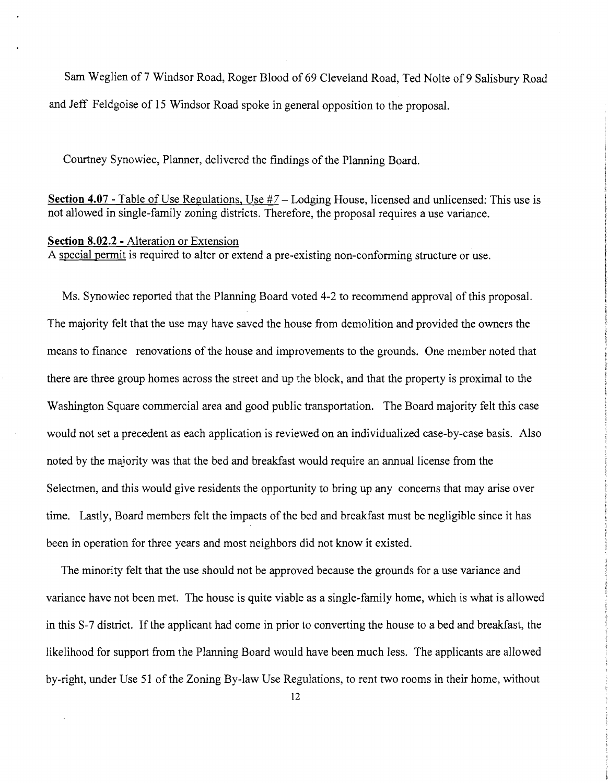Sam Weglien of 7 Windsor Road, Roger Blood of 69 Cleveland Road, Ted Nolte of 9 Salisbury Road and Jeff Feldgoise of 15 Windsor Road spoke in general opposition to the proposal.

Courtney Synowiec, Planner, delivered the findings of the Planning Board.

**Section 4.07** - Table of Use Regulations, Use #7 - Lodging House, licensed and unlicensed: This use is not allowed in single-family zoning districts. Therefore, the proposal requires a use variance.

### **Section 8.02.2 -** Alteration or Extension

A special permit is required to alter or extend a pre-existing non-conforming structure or use.

Ms. Synowiec reported that the Planning Board voted 4-2 to recommend approval of this proposal. The majority felt that the use may have saved the house from demolition and provided the owners the means to finance renovations of the house and improvements to the grounds. One member noted that there are three group homes across the street and up the block, and that the property is proximal to the Washington Square commercial area and good public transportation. The Board majority felt this case would not set a precedent as each application is reviewed on an individualized case-by-case basis. Also noted by the majority was that the bed and breakfast would require an annual license from the Selectmen, and this would give residents the opportunity to bring up any concerns that may arise over time. Lastly, Board members felt the impacts of the bed and breakfast must be negligible since it has been in operation for three years and most neighbors did not know it existed.

The minority felt that the use should not be approved because the grounds for a use variance and variance have not been met. The house is quite viable as a single-family home, which is what is allowed in this S-7 district. If the applicant had come in prior to converting the house to a bed and breakfast, the likelihood for support from the Planning Board would have been much less. The applicants are allowed by-right, under Use 51 of the Zoning By-law Use Regulations, to rent two rooms in their home, without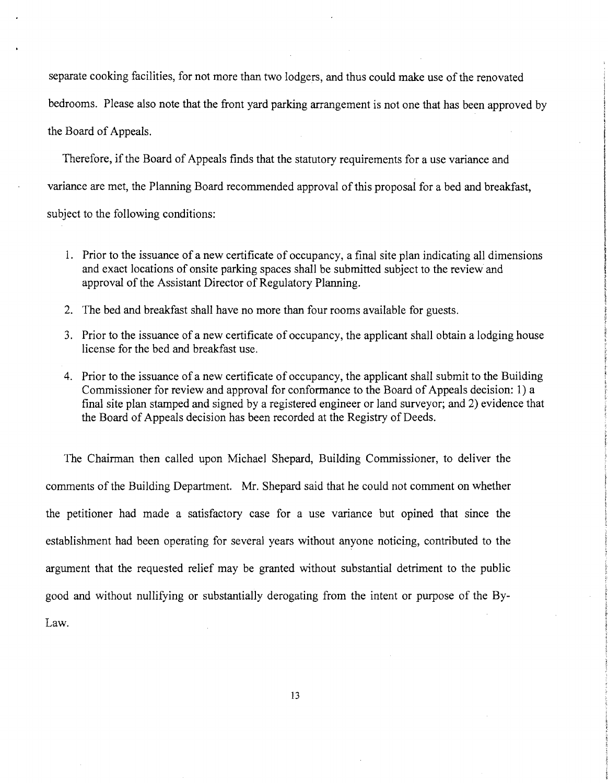separate cooking facilities, for not more than two lodgers, and thus could make use of the renovated bedrooms. Please also note that the front yard parking arrangement is not one that has been approved by the Board of Appeals.

Therefore, if the Board of Appeals finds that the statutory requirements for a use variance and variance are met, the Planning Board recommended approval of this proposal for a bed and breakfast, subject to the following conditions:

- 1. Prior to the issuance of a new certificate of occupancy, a final site plan indicating all dimensions and exact locations of onsite parking spaces shall be submitted subject to the review and approval of the Assistant Director of Regulatory Planning.
- 2. The bed and breakfast shall have no more than four rooms available for guests.
- 3. Prior to the issuance of a new certificate of occupancy, the applicant shall obtain a lodging house license for the bed and breakfast use.
- 4. Prior to the issuance of a new certificate of occupancy, the applicant shall submit to the Building Commissioner for review and approval for conformance to the Board of Appeals decision: 1) a final site plan stamped and signed by a registered engineer or land surveyor; and 2) evidence that the Board of Appeals decision has been recorded at the Registry of Deeds.

The Chairman then called upon Michael Shepard, Building Commissioner, to deliver the comments of the Building Department. Mr. Shepard said that he could not comment on whether the petitioner had made a satisfactory case for a use variance but opined that since the establishment had been operating for several years without anyone noticing, contributed to the argument that the requested relief may be granted without substantial detriment to the public good and without nullifying or substantially derogating from the intent or purpose of the By-Law.